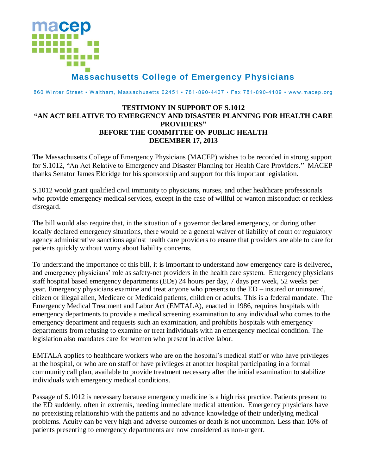

860 Winter Street • Waltham, Massachusetts 02451 • 781-890-4407 • Fax 781-890-4109 • www.macep.org

## **TESTIMONY IN SUPPORT OF S.1012 "AN ACT RELATIVE TO EMERGENCY AND DISASTER PLANNING FOR HEALTH CARE PROVIDERS" BEFORE THE COMMITTEE ON PUBLIC HEALTH DECEMBER 17, 2013**

The Massachusetts College of Emergency Physicians (MACEP) wishes to be recorded in strong support for S.1012, "An Act Relative to Emergency and Disaster Planning for Health Care Providers." MACEP thanks Senator James Eldridge for his sponsorship and support for this important legislation.

S.1012 would grant qualified civil immunity to physicians, nurses, and other healthcare professionals who provide emergency medical services, except in the case of willful or wanton misconduct or reckless disregard.

The bill would also require that, in the situation of a governor declared emergency, or during other locally declared emergency situations, there would be a general waiver of liability of court or regulatory agency administrative sanctions against health care providers to ensure that providers are able to care for patients quickly without worry about liability concerns.

To understand the importance of this bill, it is important to understand how emergency care is delivered, and emergency physicians' role as safety-net providers in the health care system. Emergency physicians staff hospital based emergency departments (EDs) 24 hours per day, 7 days per week, 52 weeks per year. Emergency physicians examine and treat anyone who presents to the ED – insured or uninsured, citizen or illegal alien, Medicare or Medicaid patients, children or adults. This is a federal mandate. The Emergency Medical Treatment and Labor Act (EMTALA), enacted in 1986, requires hospitals with emergency departments to provide a medical screening examination to any individual who comes to the emergency department and requests such an examination, and prohibits hospitals with emergency departments from refusing to examine or treat individuals with an emergency medical condition. The legislation also mandates care for women who present in active labor.

EMTALA applies to healthcare workers who are on the hospital's medical staff or who have privileges at the hospital, or who are on staff or have privileges at another hospital participating in a formal community call plan, available to provide treatment necessary after the initial examination to stabilize individuals with emergency medical conditions.

Passage of S.1012 is necessary because emergency medicine is a high risk practice. Patients present to the ED suddenly, often in extremis, needing immediate medical attention. Emergency physicians have no preexisting relationship with the patients and no advance knowledge of their underlying medical problems. Acuity can be very high and adverse outcomes or death is not uncommon. Less than 10% of patients presenting to emergency departments are now considered as non-urgent.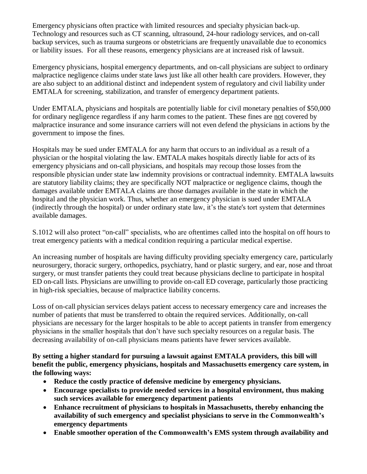Emergency physicians often practice with limited resources and specialty physician back-up. Technology and resources such as CT scanning, ultrasound, 24-hour radiology services, and on-call backup services, such as trauma surgeons or obstetricians are frequently unavailable due to economics or liability issues. For all these reasons, emergency physicians are at increased risk of lawsuit.

Emergency physicians, hospital emergency departments, and on-call physicians are subject to ordinary malpractice negligence claims under state laws just like all other health care providers. However, they are also subject to an additional distinct and independent system of regulatory and civil liability under EMTALA for screening, stabilization, and transfer of emergency department patients.

Under EMTALA, physicians and hospitals are potentially liable for civil monetary penalties of \$50,000 for ordinary negligence regardless if any harm comes to the patient. These fines are not covered by malpractice insurance and some insurance carriers will not even defend the physicians in actions by the government to impose the fines.

Hospitals may be sued under EMTALA for any harm that occurs to an individual as a result of a physician or the hospital violating the law. EMTALA makes hospitals directly liable for acts of its emergency physicians and on-call physicians, and hospitals may recoup those losses from the responsible physician under state law indemnity provisions or contractual indemnity. EMTALA lawsuits are statutory liability claims; they are specifically NOT malpractice or negligence claims, though the damages available under EMTALA claims are those damages available in the state in which the hospital and the physician work. Thus, whether an emergency physician is sued under EMTALA (indirectly through the hospital) or under ordinary state law, it's the state's tort system that determines available damages.

S.1012 will also protect "on-call" specialists, who are oftentimes called into the hospital on off hours to treat emergency patients with a medical condition requiring a particular medical expertise.

An increasing number of hospitals are having difficulty providing specialty emergency care, particularly neurosurgery, thoracic surgery, orthopedics, psychiatry, hand or plastic surgery, and ear, nose and throat surgery, or must transfer patients they could treat because physicians decline to participate in hospital ED on-call lists. Physicians are unwilling to provide on-call ED coverage, particularly those practicing in high-risk specialties, because of malpractice liability concerns.

Loss of on-call physician services delays patient access to necessary emergency care and increases the number of patients that must be transferred to obtain the required services. Additionally, on-call physicians are necessary for the larger hospitals to be able to accept patients in transfer from emergency physicians in the smaller hospitals that don't have such specialty resources on a regular basis. The decreasing availability of on-call physicians means patients have fewer services available.

**By setting a higher standard for pursuing a lawsuit against EMTALA providers, this bill will benefit the public, emergency physicians, hospitals and Massachusetts emergency care system, in the following ways:**

- **Reduce the costly practice of defensive medicine by emergency physicians.**
- **Encourage specialists to provide needed services in a hospital environment, thus making such services available for emergency department patients**
- **Enhance recruitment of physicians to hospitals in Massachusetts, thereby enhancing the availability of such emergency and specialist physicians to serve in the Commonwealth's emergency departments**
- **Enable smoother operation of the Commonwealth's EMS system through availability and**